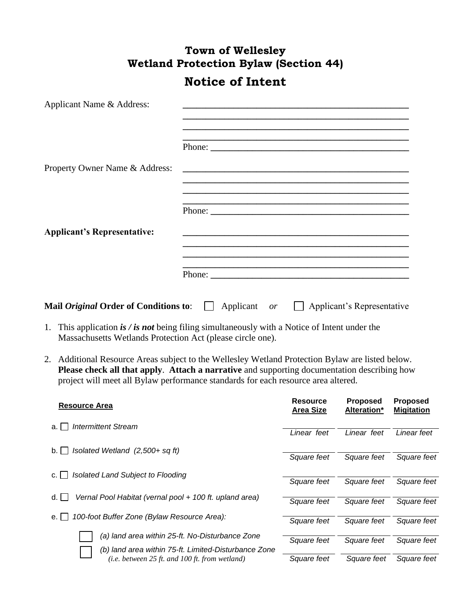## **Town of Wellesley Wetland Protection Bylaw (Section 44) Notice of Intent**

| Applicant Name & Address:                    |                                                                                                                  |
|----------------------------------------------|------------------------------------------------------------------------------------------------------------------|
|                                              | <u> 1990 - John Stone, Amerikaansk politiker (* 1900)</u>                                                        |
| Property Owner Name & Address:               |                                                                                                                  |
|                                              |                                                                                                                  |
|                                              | Phone:                                                                                                           |
| <b>Applicant's Representative:</b>           | and the control of the control of the control of the control of the control of the control of the control of the |
|                                              |                                                                                                                  |
| Mail <i>Original</i> Order of Conditions to: | Applicant or       Applicant's Representative                                                                    |

- 1. This application *is / is not* being filing simultaneously with a Notice of Intent under the Massachusetts Wetlands Protection Act (please circle one).
- 2. Additional Resource Areas subject to the Wellesley Wetland Protection Bylaw are listed below. **Please check all that apply**. **Attach a narrative** and supporting documentation describing how project will meet all Bylaw performance standards for each resource area altered.

| <b>Resource Area</b>                                                                                    | <b>Resource</b><br><b>Area Size</b> | <b>Proposed</b><br>Alteration* | <b>Proposed</b><br><b>Migitation</b> |
|---------------------------------------------------------------------------------------------------------|-------------------------------------|--------------------------------|--------------------------------------|
| <b>Intermittent Stream</b><br>a.                                                                        | Linear feet                         | Linear feet                    | Linear feet                          |
| Isolated Wetland (2,500+ sq ft)<br>b.                                                                   | Square feet                         | Square feet                    | Square feet                          |
| Isolated Land Subject to Flooding<br>c.                                                                 | Square feet                         | Square feet                    | Square feet                          |
| Vernal Pool Habitat (vernal pool + 100 ft. upland area)<br>d. I                                         | Square feet                         | Square feet                    | Square feet                          |
| 100-foot Buffer Zone (Bylaw Resource Area):<br>е.                                                       | Square feet                         | Square feet                    | Square feet                          |
| (a) land area within 25-ft. No-Disturbance Zone<br>(b) land area within 75-ft. Limited-Disturbance Zone | Square feet                         | Square feet                    | Square feet                          |
| $(i.e. between 25 ft. and 100 ft. from wetland)$                                                        | Square feet                         | Square feet                    | Square feet                          |